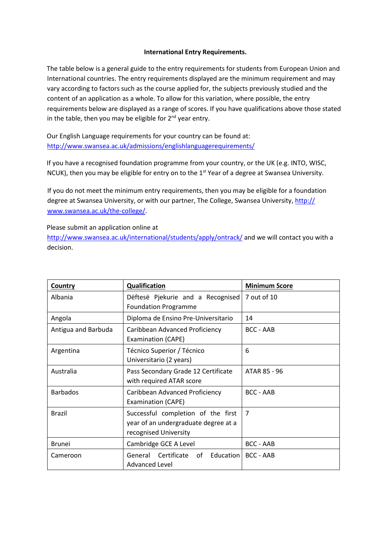## **International Entry Requirements.**

The table below is a general guide to the entry requirements for students from European Union and International countries. The entry requirements displayed are the minimum requirement and may vary according to factors such as the course applied for, the subjects previously studied and the content of an application as a whole. To allow for this variation, where possible, the entry requirements below are displayed as a range of scores. If you have qualifications above those stated in the table, then you may be eligible for  $2<sup>nd</sup>$  year entry.

Our English Language requirements for your country can be found at: <http://www.swansea.ac.uk/admissions/englishlanguagerequirements/>

If you have a recognised foundation programme from your country, or the UK (e.g. INTO, WISC, NCUK), then you may be eligible for entry on to the 1<sup>st</sup> Year of a degree at Swansea University.

If you do not meet the minimum entry requirements, then you may be eligible for a foundation degree at Swansea University, or with our partner, [The College, Swansea University,](http://www.icws.navitas.com/) http:// www.swansea.ac.uk/the-college/.

[Please submit an application online at](http://www.swansea.ac.uk/international/students/apply/ontrack/) 

http://www.swansea.ac.uk/international/students/apply/ontrack/ and we will contact you with a decision.

| Country             | Qualification                                                                                       | <b>Minimum Score</b> |
|---------------------|-----------------------------------------------------------------------------------------------------|----------------------|
| Albania             | Dëftesë Pjekurie and a Recognised<br><b>Foundation Programme</b>                                    | 7 out of 10          |
| Angola              | Diploma de Ensino Pre-Universitario                                                                 | 14                   |
| Antigua and Barbuda | Caribbean Advanced Proficiency<br><b>Examination (CAPE)</b>                                         | <b>BCC - AAB</b>     |
| Argentina           | Técnico Superior / Técnico<br>Universitario (2 years)                                               | 6                    |
| Australia           | Pass Secondary Grade 12 Certificate<br>with required ATAR score                                     | ATAR 85 - 96         |
| <b>Barbados</b>     | Caribbean Advanced Proficiency<br><b>Examination (CAPE)</b>                                         | <b>BCC - AAB</b>     |
| <b>Brazil</b>       | Successful completion of the first<br>year of an undergraduate degree at a<br>recognised University | $\overline{7}$       |
| <b>Brunei</b>       | Cambridge GCE A Level                                                                               | <b>BCC - AAB</b>     |
| Cameroon            | General Certificate of Education<br><b>Advanced Level</b>                                           | <b>BCC - AAB</b>     |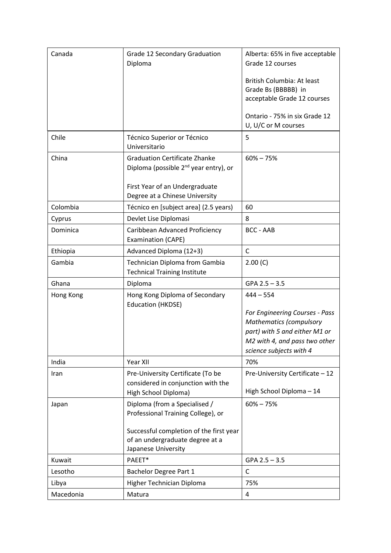| Canada    | Grade 12 Secondary Graduation                              | Alberta: 65% in five acceptable |
|-----------|------------------------------------------------------------|---------------------------------|
|           | Diploma                                                    | Grade 12 courses                |
|           |                                                            | British Columbia: At least      |
|           |                                                            | Grade Bs (BBBBB) in             |
|           |                                                            | acceptable Grade 12 courses     |
|           |                                                            | Ontario - 75% in six Grade 12   |
|           |                                                            | U, U/C or M courses             |
| Chile     | Técnico Superior or Técnico                                | 5                               |
|           | Universitario                                              |                                 |
| China     | <b>Graduation Certificate Zhanke</b>                       | $60\% - 75\%$                   |
|           | Diploma (possible 2 <sup>nd</sup> year entry), or          |                                 |
|           | First Year of an Undergraduate                             |                                 |
|           | Degree at a Chinese University                             |                                 |
| Colombia  | Técnico en [subject area] (2.5 years)                      | 60                              |
| Cyprus    | Devlet Lise Diplomasi                                      | 8                               |
| Dominica  | Caribbean Advanced Proficiency                             | <b>BCC - AAB</b>                |
|           | <b>Examination (CAPE)</b>                                  |                                 |
| Ethiopia  | Advanced Diploma (12+3)                                    | $\mathsf{C}$                    |
| Gambia    | Technician Diploma from Gambia                             | 2.00(C)                         |
|           | <b>Technical Training Institute</b>                        |                                 |
| Ghana     | Diploma                                                    | $GPA$ 2.5 - 3.5                 |
| Hong Kong | Hong Kong Diploma of Secondary<br><b>Education (HKDSE)</b> | $444 - 554$                     |
|           |                                                            | For Engineering Courses - Pass  |
|           |                                                            | <b>Mathematics (compulsory</b>  |
|           |                                                            | part) with 5 and either M1 or   |
|           |                                                            | M2 with 4, and pass two other   |
|           |                                                            | science subjects with 4         |
| India     | Year XII                                                   | 70%                             |
| Iran      | Pre-University Certificate (To be                          | Pre-University Certificate - 12 |
|           | considered in conjunction with the<br>High School Diploma) | High School Diploma - 14        |
| Japan     | Diploma (from a Specialised /                              | $60\% - 75\%$                   |
|           | Professional Training College), or                         |                                 |
|           |                                                            |                                 |
|           | Successful completion of the first year                    |                                 |
|           | of an undergraduate degree at a<br>Japanese University     |                                 |
| Kuwait    | PAEET*                                                     | $GPA$ 2.5 - 3.5                 |
| Lesotho   | Bachelor Degree Part 1                                     | $\mathsf{C}$                    |
| Libya     | Higher Technician Diploma                                  | 75%                             |
| Macedonia | Matura                                                     | 4                               |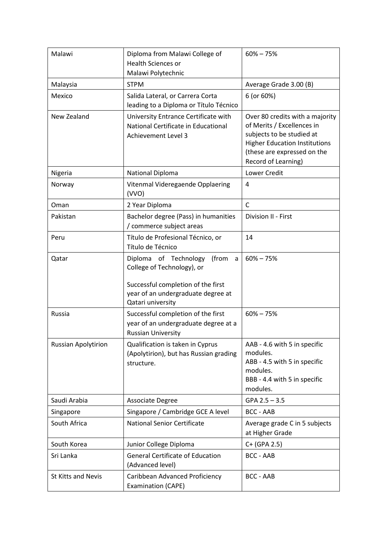| Malawi                     | Diploma from Malawi College of<br><b>Health Sciences or</b>                                                                                                        | $60\% - 75\%$                                                                                                                                                                            |
|----------------------------|--------------------------------------------------------------------------------------------------------------------------------------------------------------------|------------------------------------------------------------------------------------------------------------------------------------------------------------------------------------------|
|                            | Malawi Polytechnic                                                                                                                                                 |                                                                                                                                                                                          |
| Malaysia                   | <b>STPM</b>                                                                                                                                                        | Average Grade 3.00 (B)                                                                                                                                                                   |
| Mexico                     | Salida Lateral, or Carrera Corta<br>leading to a Diploma or Título Técnico                                                                                         | 6 (or 60%)                                                                                                                                                                               |
| New Zealand                | University Entrance Certificate with<br>National Certificate in Educational<br><b>Achievement Level 3</b>                                                          | Over 80 credits with a majority<br>of Merits / Excellences in<br>subjects to be studied at<br><b>Higher Education Institutions</b><br>(these are expressed on the<br>Record of Learning) |
| Nigeria                    | National Diploma                                                                                                                                                   | Lower Credit                                                                                                                                                                             |
| Norway                     | Vitenmal Videregaende Opplaering<br>(VVO)                                                                                                                          | 4                                                                                                                                                                                        |
| Oman                       | 2 Year Diploma                                                                                                                                                     | $\mathsf{C}$                                                                                                                                                                             |
| Pakistan                   | Bachelor degree (Pass) in humanities<br>/ commerce subject areas                                                                                                   | Division II - First                                                                                                                                                                      |
| Peru                       | Título de Profesional Técnico, or<br>Título de Técnico                                                                                                             | 14                                                                                                                                                                                       |
| Qatar                      | Diploma of Technology<br>(from<br>a<br>College of Technology), or<br>Successful completion of the first<br>year of an undergraduate degree at<br>Qatari university | $60\% - 75\%$                                                                                                                                                                            |
| Russia                     | Successful completion of the first<br>year of an undergraduate degree at a<br><b>Russian University</b>                                                            | $60\% - 75\%$                                                                                                                                                                            |
| <b>Russian Apolytirion</b> | Qualification is taken in Cyprus<br>(Apolytirion), but has Russian grading<br>structure.                                                                           | AAB - 4.6 with 5 in specific<br>modules.<br>ABB - 4.5 with 5 in specific<br>modules.<br>BBB - 4.4 with 5 in specific<br>modules.                                                         |
| Saudi Arabia               | <b>Associate Degree</b>                                                                                                                                            | $GPA$ 2.5 - 3.5                                                                                                                                                                          |
| Singapore                  | Singapore / Cambridge GCE A level                                                                                                                                  | <b>BCC - AAB</b>                                                                                                                                                                         |
| South Africa               | <b>National Senior Certificate</b>                                                                                                                                 | Average grade C in 5 subjects<br>at Higher Grade                                                                                                                                         |
| South Korea                | Junior College Diploma                                                                                                                                             | C+ (GPA 2.5)                                                                                                                                                                             |
| Sri Lanka                  | <b>General Certificate of Education</b><br>(Advanced level)                                                                                                        | <b>BCC - AAB</b>                                                                                                                                                                         |
| <b>St Kitts and Nevis</b>  | Caribbean Advanced Proficiency<br>Examination (CAPE)                                                                                                               | <b>BCC - AAB</b>                                                                                                                                                                         |